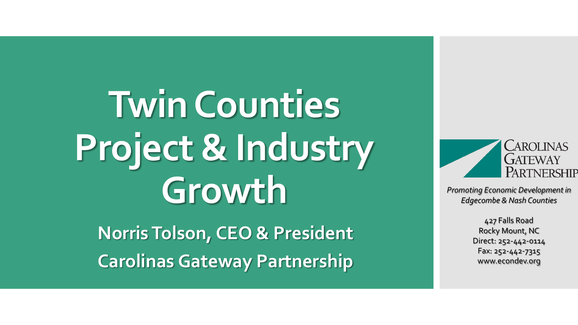**Twin Counties Project & Industry Growth**

**Norris Tolson, CEO & President Carolinas Gateway Partnership**



*Promoting Economic Development in Edgecombe & Nash Counties*

> 427 Falls Road Rocky Mount, NC Direct: 252-442-0114 Fax: 252-442-7315 www.econdev.org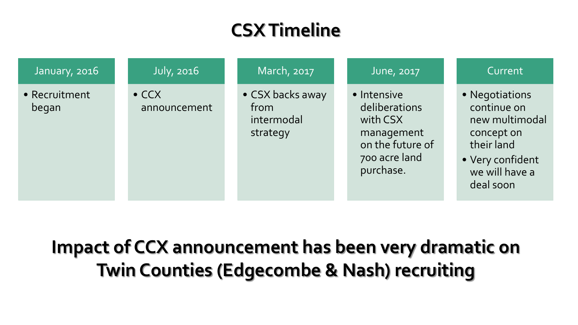## **CSX Timeline**

| January, 2016          | <b>July, 2016</b>             | March, 2017                                        | June, 2017                                                                                               | Current                                                                                                                        |
|------------------------|-------------------------------|----------------------------------------------------|----------------------------------------------------------------------------------------------------------|--------------------------------------------------------------------------------------------------------------------------------|
| • Recruitment<br>began | $\bullet$ CCX<br>announcement | • CSX backs away<br>from<br>intermodal<br>strategy | • Intensive<br>deliberations<br>with CSX<br>management<br>on the future of<br>700 acre land<br>purchase. | • Negotiations<br>continue on<br>new multimodal<br>concept on<br>their land<br>• Very confident<br>we will have a<br>deal soon |

**Impact of CCX announcement has been very dramatic on Twin Counties (Edgecombe & Nash) recruiting**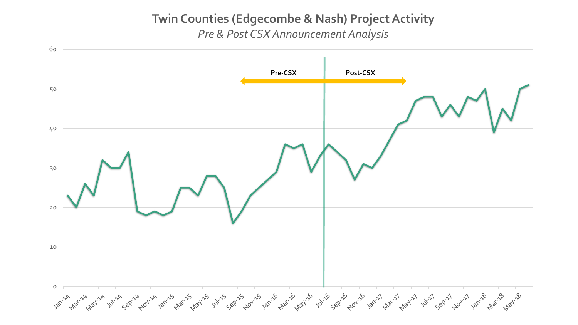## **Twin Counties (Edgecombe & Nash) Project Activity** *Pre & Post CSX Announcement Analysis*

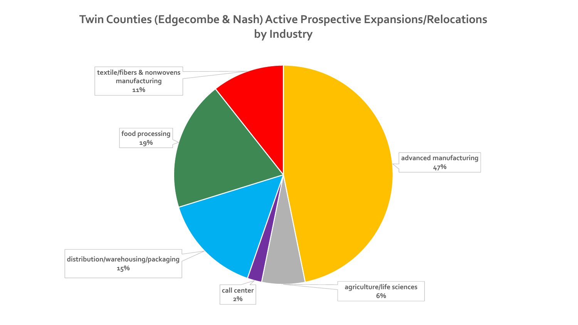## **Twin Counties (Edgecombe & Nash) Active Prospective Expansions/Relocations by Industry**